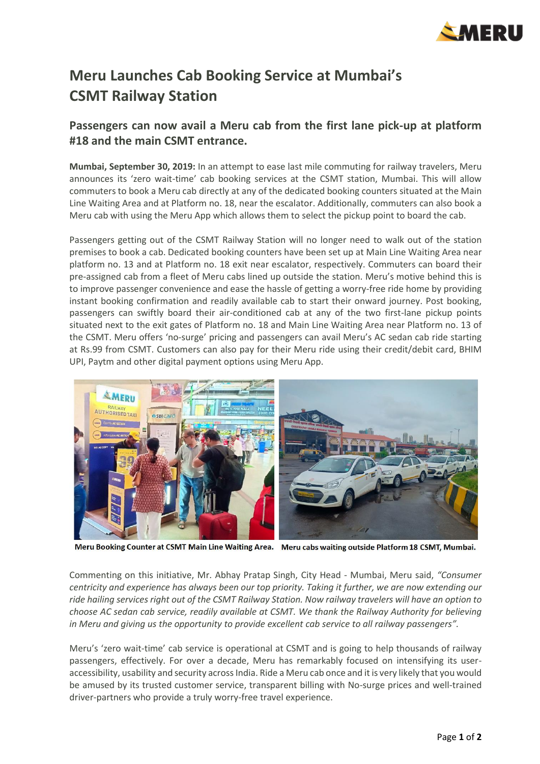

## **Meru Launches Cab Booking Service at Mumbai's CSMT Railway Station**

## **Passengers can now avail a Meru cab from the first lane pick-up at platform #18 and the main CSMT entrance.**

**Mumbai, September 30, 2019:** In an attempt to ease last mile commuting for railway travelers, Meru announces its 'zero wait-time' cab booking services at the CSMT station, Mumbai. This will allow commuters to book a Meru cab directly at any of the dedicated booking counters situated at the Main Line Waiting Area and at Platform no. 18, near the escalator. Additionally, commuters can also book a Meru cab with using the Meru App which allows them to select the pickup point to board the cab.

Passengers getting out of the CSMT Railway Station will no longer need to walk out of the station premises to book a cab. Dedicated booking counters have been set up at Main Line Waiting Area near platform no. 13 and at Platform no. 18 exit near escalator, respectively. Commuters can board their pre-assigned cab from a fleet of Meru cabs lined up outside the station. Meru's motive behind this is to improve passenger convenience and ease the hassle of getting a worry-free ride home by providing instant booking confirmation and readily available cab to start their onward journey. Post booking, passengers can swiftly board their air-conditioned cab at any of the two first-lane pickup points situated next to the exit gates of Platform no. 18 and Main Line Waiting Area near Platform no. 13 of the CSMT. Meru offers 'no-surge' pricing and passengers can avail Meru's AC sedan cab ride starting at Rs.99 from CSMT. Customers can also pay for their Meru ride using their credit/debit card, BHIM UPI, Paytm and other digital payment options using Meru App.



Meru Booking Counter at CSMT Main Line Waiting Area. Meru cabs waiting outside Platform 18 CSMT, Mumbai.

Commenting on this initiative, Mr. Abhay Pratap Singh, City Head - Mumbai, Meru said, *"Consumer centricity and experience has always been our top priority. Taking it further, we are now extending our ride hailing services right out of the CSMT Railway Station. Now railway travelers will have an option to choose AC sedan cab service, readily available at CSMT. We thank the Railway Authority for believing in Meru and giving us the opportunity to provide excellent cab service to all railway passengers".*

Meru's 'zero wait-time' cab service is operational at CSMT and is going to help thousands of railway passengers, effectively. For over a decade, Meru has remarkably focused on intensifying its useraccessibility, usability and security across India. Ride a Meru cab once and it is very likely that you would be amused by its trusted customer service, transparent billing with No-surge prices and well-trained driver-partners who provide a truly worry-free travel experience.